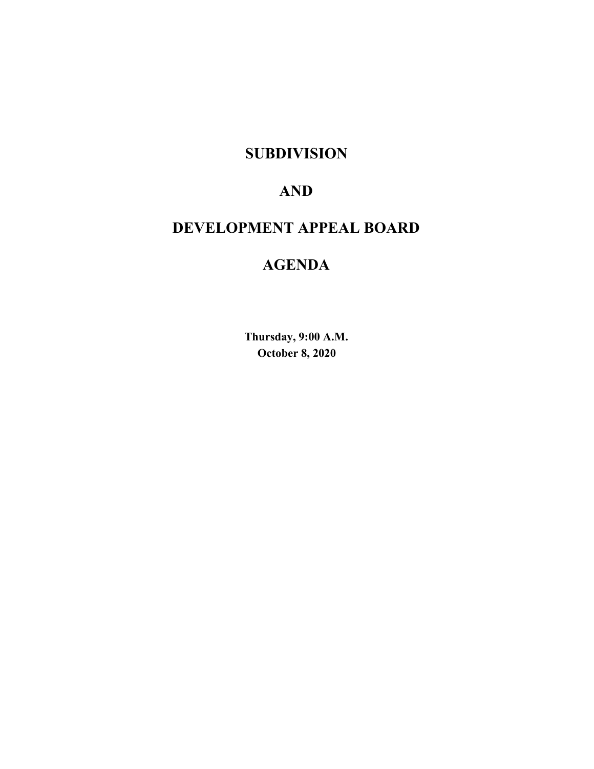### **SUBDIVISION**

# **AND**

# **DEVELOPMENT APPEAL BOARD**

# **AGENDA**

**Thursday, 9:00 A.M. October 8, 2020**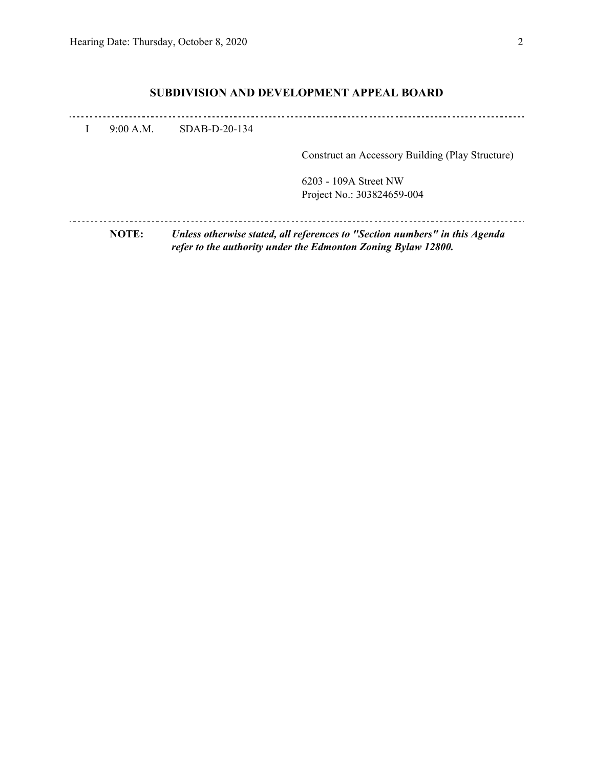### **SUBDIVISION AND DEVELOPMENT APPEAL BOARD**

|           |                 | 6203 - 109A Street NW<br>Project No.: 303824659-004 |
|-----------|-----------------|-----------------------------------------------------|
|           |                 | Construct an Accessory Building (Play Structure)    |
| 9:00 A.M. | $SDAB-D-20-134$ |                                                     |
|           |                 |                                                     |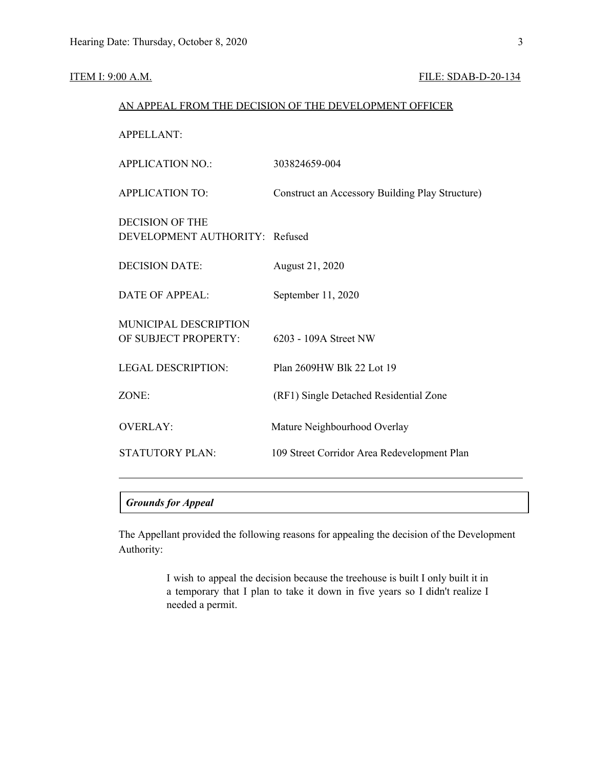#### **ITEM I: 9:00 A.M. FILE: SDAB-D-20-134**

| AN APPEAL FROM THE DECISION OF THE DEVELOPMENT OFFICER   |                                                 |  |  |  |  |  |
|----------------------------------------------------------|-------------------------------------------------|--|--|--|--|--|
| <b>APPELLANT:</b>                                        |                                                 |  |  |  |  |  |
| <b>APPLICATION NO.:</b>                                  | 303824659-004                                   |  |  |  |  |  |
| <b>APPLICATION TO:</b>                                   | Construct an Accessory Building Play Structure) |  |  |  |  |  |
| <b>DECISION OF THE</b><br>DEVELOPMENT AUTHORITY: Refused |                                                 |  |  |  |  |  |
| <b>DECISION DATE:</b>                                    | August 21, 2020                                 |  |  |  |  |  |
| <b>DATE OF APPEAL:</b>                                   | September 11, 2020                              |  |  |  |  |  |
| MUNICIPAL DESCRIPTION<br>OF SUBJECT PROPERTY:            | 6203 - 109A Street NW                           |  |  |  |  |  |
| <b>LEGAL DESCRIPTION:</b>                                | Plan 2609HW Blk 22 Lot 19                       |  |  |  |  |  |
| ZONE:                                                    | (RF1) Single Detached Residential Zone          |  |  |  |  |  |
| <b>OVERLAY:</b>                                          | Mature Neighbourhood Overlay                    |  |  |  |  |  |
| <b>STATUTORY PLAN:</b>                                   | 109 Street Corridor Area Redevelopment Plan     |  |  |  |  |  |
|                                                          |                                                 |  |  |  |  |  |

### *Grounds for Appeal*

The Appellant provided the following reasons for appealing the decision of the Development Authority:

> I wish to appeal the decision because the treehouse is built I only built it in a temporary that I plan to take it down in five years so I didn't realize I needed a permit.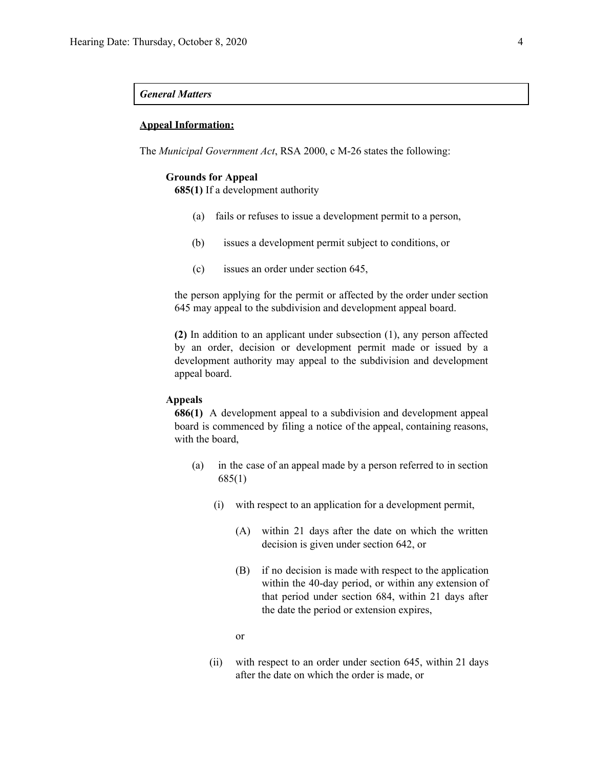#### *General Matters*

#### **Appeal Information:**

The *Municipal Government Act*, RSA 2000, c M-26 states the following:

#### **Grounds for Appeal**

**685(1)** If a development authority

- (a) fails or refuses to issue a development permit to a person,
- (b) issues a development permit subject to conditions, or
- (c) issues an order under section 645,

the person applying for the permit or affected by the order under section 645 may appeal to the subdivision and development appeal board.

**(2)** In addition to an applicant under subsection (1), any person affected by an order, decision or development permit made or issued by a development authority may appeal to the subdivision and development appeal board.

#### **Appeals**

**686(1)** A development appeal to a subdivision and development appeal board is commenced by filing a notice of the appeal, containing reasons, with the board,

- (a) in the case of an appeal made by a person referred to in section 685(1)
	- (i) with respect to an application for a development permit,
		- (A) within 21 days after the date on which the written decision is given under section 642, or
		- (B) if no decision is made with respect to the application within the 40-day period, or within any extension of that period under section 684, within 21 days after the date the period or extension expires,
		- or
	- (ii) with respect to an order under section 645, within 21 days after the date on which the order is made, or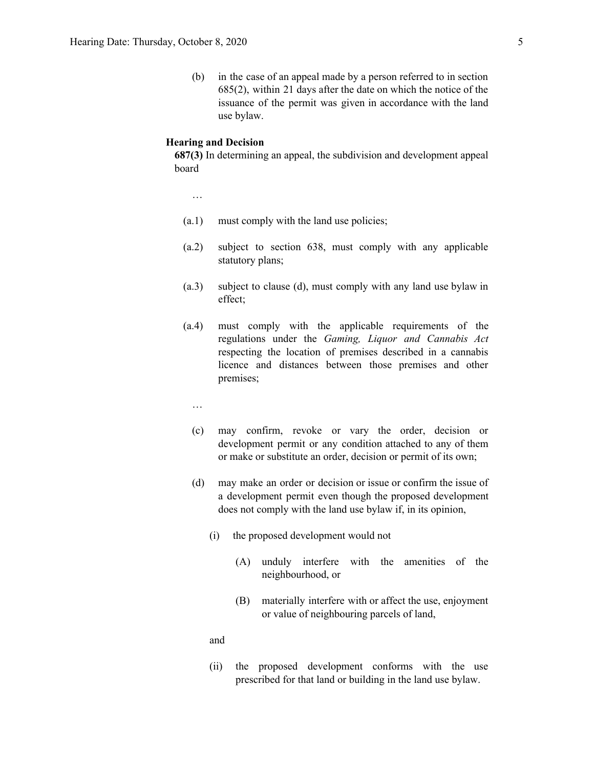(b) in the case of an appeal made by a person referred to in section 685(2), within 21 days after the date on which the notice of the issuance of the permit was given in accordance with the land use bylaw.

#### **Hearing and Decision**

**687(3)** In determining an appeal, the subdivision and development appeal board

…

- (a.1) must comply with the land use policies;
- (a.2) subject to section 638, must comply with any applicable statutory plans;
- (a.3) subject to clause (d), must comply with any land use bylaw in effect;
- (a.4) must comply with the applicable requirements of the regulations under the *Gaming, Liquor and Cannabis Act* respecting the location of premises described in a cannabis licence and distances between those premises and other premises;
	- …
	- (c) may confirm, revoke or vary the order, decision or development permit or any condition attached to any of them or make or substitute an order, decision or permit of its own;
	- (d) may make an order or decision or issue or confirm the issue of a development permit even though the proposed development does not comply with the land use bylaw if, in its opinion,
		- (i) the proposed development would not
			- (A) unduly interfere with the amenities of the neighbourhood, or
			- (B) materially interfere with or affect the use, enjoyment or value of neighbouring parcels of land,

and

(ii) the proposed development conforms with the use prescribed for that land or building in the land use bylaw.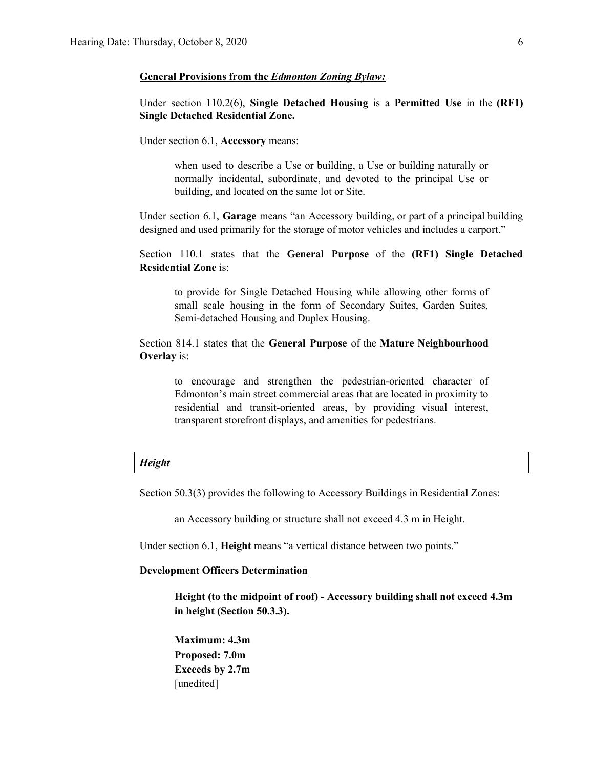#### **General Provisions from the** *Edmonton Zoning Bylaw:*

Under section 110.2(6), **Single Detached Housing** is a **Permitted Use** in the **(RF1) Single Detached Residential Zone.**

Under section 6.1, **Accessory** means:

when used to describe a Use or building, a Use or building naturally or normally incidental, subordinate, and devoted to the principal Use or building, and located on the same lot or Site.

Under section 6.1, **Garage** means "an Accessory building, or part of a principal building designed and used primarily for the storage of motor vehicles and includes a carport."

Section 110.1 states that the **General Purpose** of the **(RF1) Single Detached Residential Zone** is:

to provide for Single Detached Housing while allowing other forms of small scale housing in the form of Secondary Suites, Garden Suites, Semi-detached Housing and Duplex Housing.

Section 814.1 states that the **General Purpose** of the **Mature Neighbourhood Overlay** is:

to encourage and strengthen the pedestrian-oriented character of Edmonton's main street commercial areas that are located in proximity to residential and transit-oriented areas, by providing visual interest, transparent storefront displays, and amenities for pedestrians.

#### *Height*

Section 50.3(3) provides the following to Accessory Buildings in Residential Zones:

an Accessory building or structure shall not exceed 4.3 m in Height.

Under section 6.1, **Height** means "a vertical distance between two points."

#### **Development Officers Determination**

**Height (to the midpoint of roof) - Accessory building shall not exceed 4.3m in height (Section 50.3.3).**

**Maximum: 4.3m Proposed: 7.0m Exceeds by 2.7m** [unedited]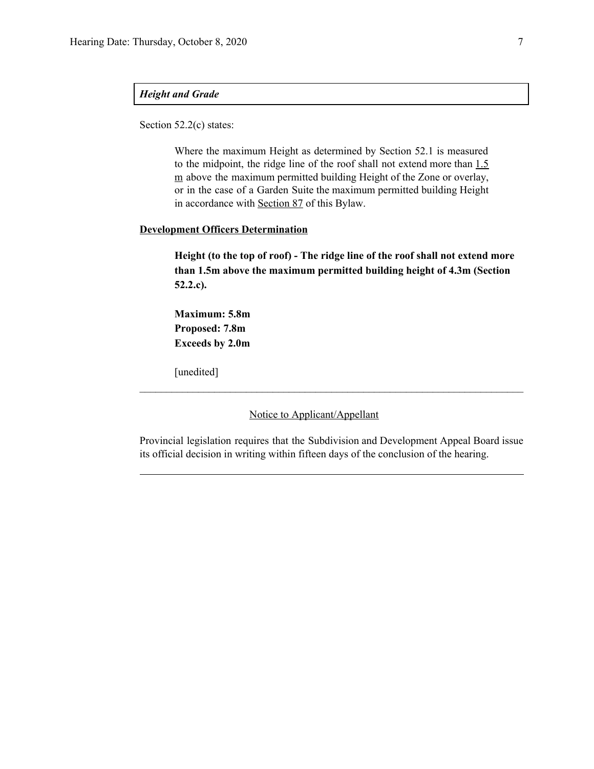#### *Height and Grade*

Section 52.2(c) states:

Where the maximum Height as determined by Section 52.1 is measured to the midpoint, the ridge line of the roof shall not extend more than  $1.5$ m above the maximum permitted building Height of the Zone or overlay, or in the case of a Garden Suite the maximum permitted building Height in accordance with Section 87 of this Bylaw.

### **Development Officers Determination**

**Height (to the top of roof) - The ridge line of the roof shall not extend more than 1.5m above the maximum permitted building height of 4.3m (Section 52.2.c).**

**Maximum: 5.8m Proposed: 7.8m Exceeds by 2.0m**

[unedited]

Notice to Applicant/Appellant

Provincial legislation requires that the Subdivision and Development Appeal Board issue its official decision in writing within fifteen days of the conclusion of the hearing.

 $\mathcal{L}_\text{max} = \frac{1}{2} \sum_{i=1}^n \mathcal{L}_\text{max} = \frac{1}{2} \sum_{i=1}^n \mathcal{L}_\text{max} = \frac{1}{2} \sum_{i=1}^n \mathcal{L}_\text{max} = \frac{1}{2} \sum_{i=1}^n \mathcal{L}_\text{max} = \frac{1}{2} \sum_{i=1}^n \mathcal{L}_\text{max} = \frac{1}{2} \sum_{i=1}^n \mathcal{L}_\text{max} = \frac{1}{2} \sum_{i=1}^n \mathcal{L}_\text{max} = \frac{1}{2} \sum_{i=$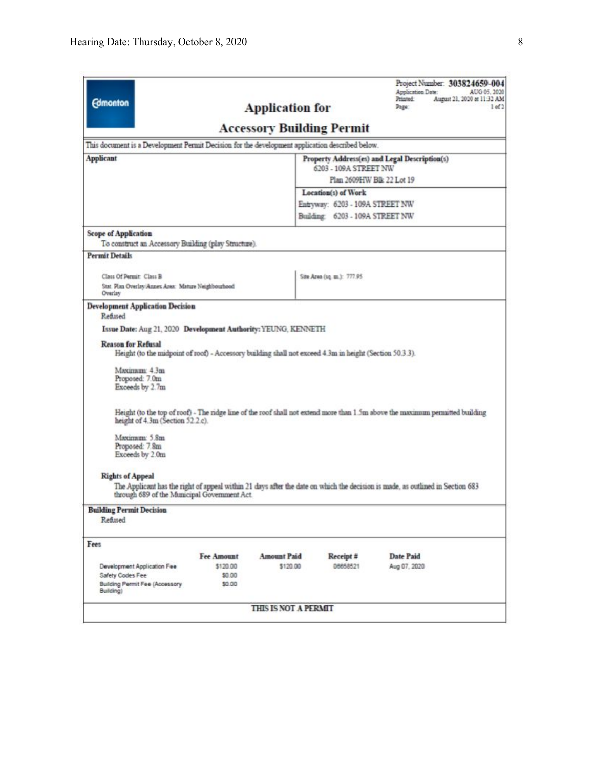| <b>Edmonton</b>                                                                                                                                                                                          |                                  | <b>Application for</b> |                                                                    | Application Date:<br>Printed:<br>Page:        | Project Number: 303824659-004<br>AUG 05, 2020<br>August 21, 2020 at 11:32 AM<br>1 <sub>ef</sub> |  |  |
|----------------------------------------------------------------------------------------------------------------------------------------------------------------------------------------------------------|----------------------------------|------------------------|--------------------------------------------------------------------|-----------------------------------------------|-------------------------------------------------------------------------------------------------|--|--|
|                                                                                                                                                                                                          | <b>Accessory Building Permit</b> |                        |                                                                    |                                               |                                                                                                 |  |  |
| This document is a Development Permit Decision for the development application described below.                                                                                                          |                                  |                        |                                                                    |                                               |                                                                                                 |  |  |
| <b>Applicant</b>                                                                                                                                                                                         |                                  |                        |                                                                    | Property Address(es) and Legal Description(s) |                                                                                                 |  |  |
|                                                                                                                                                                                                          |                                  |                        | 6203 - 109A STREET NW<br>Plan 2609HW Blk 22 Lot 19                 |                                               |                                                                                                 |  |  |
|                                                                                                                                                                                                          |                                  |                        |                                                                    |                                               |                                                                                                 |  |  |
|                                                                                                                                                                                                          |                                  |                        | Location(s) of Work                                                |                                               |                                                                                                 |  |  |
|                                                                                                                                                                                                          |                                  |                        | Entryway: 6203 - 109A STREET NW<br>Building: 6203 - 109A STREET NW |                                               |                                                                                                 |  |  |
| <b>Scope of Application</b><br>To construct an Accessory Building (play Structure).                                                                                                                      |                                  |                        |                                                                    |                                               |                                                                                                 |  |  |
| <b>Permit Details</b>                                                                                                                                                                                    |                                  |                        |                                                                    |                                               |                                                                                                 |  |  |
| Class Of Permit: Class B                                                                                                                                                                                 |                                  |                        | Site Area (uq. m.): 777.95                                         |                                               |                                                                                                 |  |  |
| Stat. Plan Overlay/Annex Area: Mature Neighbourhood<br>Overlay                                                                                                                                           |                                  |                        |                                                                    |                                               |                                                                                                 |  |  |
| <b>Development Application Decision</b><br>Refused                                                                                                                                                       |                                  |                        |                                                                    |                                               |                                                                                                 |  |  |
| Issue Date: Aug 21, 2020 Development Authority: YEUNG, KENNETH                                                                                                                                           |                                  |                        |                                                                    |                                               |                                                                                                 |  |  |
| Height (to the midpoint of roof) - Accessory building shall not exceed 4.3m in height (Section 50.3.3).<br>Maximum: 4.3m<br>Proposed: 7.0m<br>Exceeds by 2.7m                                            |                                  |                        |                                                                    |                                               |                                                                                                 |  |  |
| Height (to the top of roof) - The ridge line of the roof shall not extend more than 1.5m above the maximum permitted building<br>height of 4.3m (Section 52.2.c).                                        |                                  |                        |                                                                    |                                               |                                                                                                 |  |  |
| Maximum: 5.8m<br>Proposed: 7.8m<br>Exceeds by 2.0m                                                                                                                                                       |                                  |                        |                                                                    |                                               |                                                                                                 |  |  |
| <b>Rights of Appeal</b><br>The Applicant has the right of appeal within 21 days after the date on which the decision is made, as outlined in Section 683<br>through 689 of the Municipal Government Act. |                                  |                        |                                                                    |                                               |                                                                                                 |  |  |
| <b>Building Permit Decision</b><br>Refused                                                                                                                                                               |                                  |                        |                                                                    |                                               |                                                                                                 |  |  |
| Fees                                                                                                                                                                                                     |                                  |                        |                                                                    |                                               |                                                                                                 |  |  |
|                                                                                                                                                                                                          | <b>Fee Amount</b>                | <b>Amount Paid</b>     | Receipt #                                                          | Date Paid                                     |                                                                                                 |  |  |
| Development Application Fee                                                                                                                                                                              | \$120.00                         | \$120.00               | 06658521                                                           | Aug 07, 2020                                  |                                                                                                 |  |  |
| Safety Codes Fee<br><b>Building Permit Fee (Accessory</b><br>Building)                                                                                                                                   | \$0.00<br>\$0.00                 |                        |                                                                    |                                               |                                                                                                 |  |  |
|                                                                                                                                                                                                          |                                  |                        |                                                                    |                                               |                                                                                                 |  |  |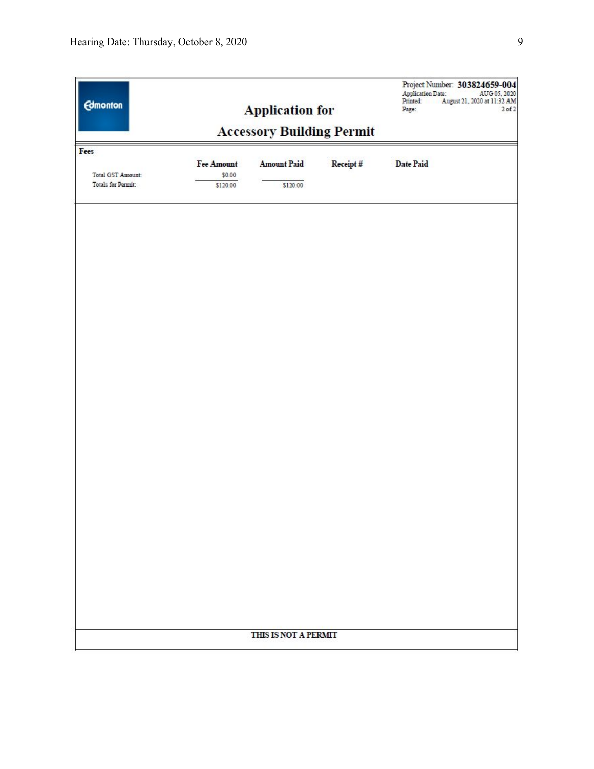|            |                    |          | Project Number: 303824659-004<br><b>Application Date:</b><br>AUG 05, 2020<br>Printed:<br>August 21, 2020 at 11:32 AM<br>a sa sa<br>$2$ of $2$<br>Page: |
|------------|--------------------|----------|--------------------------------------------------------------------------------------------------------------------------------------------------------|
|            |                    |          |                                                                                                                                                        |
| Fee Amount | <b>Amount Paid</b> | Receipt# | <b>Date Paid</b>                                                                                                                                       |
| \$120.00   | \$120.00           |          |                                                                                                                                                        |
|            |                    |          |                                                                                                                                                        |
|            |                    |          |                                                                                                                                                        |
|            |                    |          |                                                                                                                                                        |
|            |                    |          |                                                                                                                                                        |
|            |                    |          |                                                                                                                                                        |
|            |                    |          |                                                                                                                                                        |
|            |                    |          |                                                                                                                                                        |
|            |                    |          |                                                                                                                                                        |
|            |                    |          |                                                                                                                                                        |
|            |                    |          |                                                                                                                                                        |
|            |                    |          |                                                                                                                                                        |
|            |                    |          |                                                                                                                                                        |
|            |                    |          |                                                                                                                                                        |
|            |                    |          |                                                                                                                                                        |
|            |                    |          |                                                                                                                                                        |
|            | \$0.00             |          | <b>Application for</b><br><b>Accessory Building Permit</b><br>THIS IS NOT A PERMIT                                                                     |